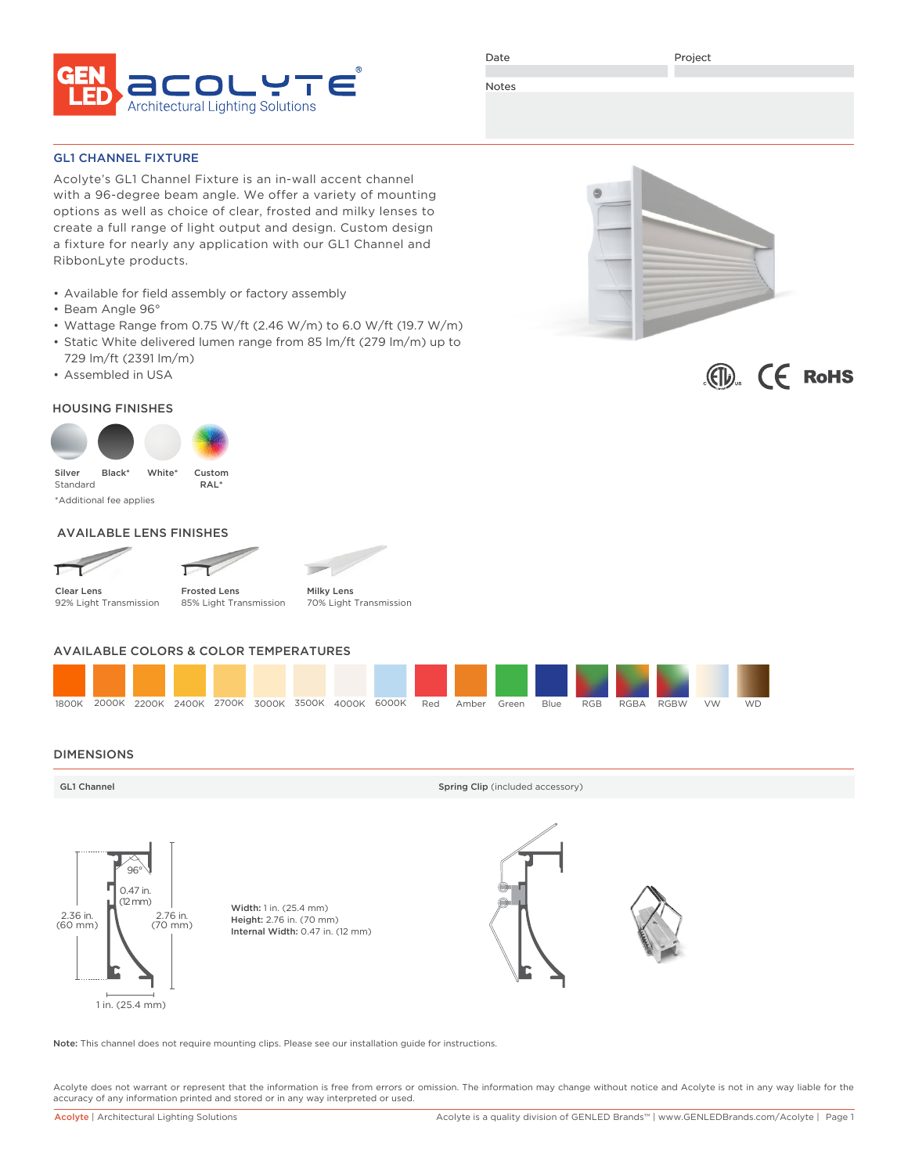

Date

Project

Notes

GL1 CHANNEL FIXTURE

Acolyte's GL1 Channel Fixture is an in-wall accent channel with a 96-degree beam angle. We offer a variety of mounting options as well as choice of clear, frosted and milky lenses to create a full range of light output and design. Custom design a fixture for nearly any application with our GL1 Channel and RibbonLyte products.

- Available for field assembly or factory assembly
- Beam Angle 96°
- Wattage Range from 0.75 W/ft (2.46 W/m) to 6.0 W/ft (19.7 W/m)
- Static White delivered lumen range from 85 lm/ft (279 lm/m) up to 729 lm/ft (2391 lm/m)
- Assembled in USA

### HOUSING FINISHES



\*Additional fee applies

### AVAILABLE LENS FINISHES





Clear Lens 92% Light Transmission

Frosted Lens 85% Light Transmission Milky Lens 70% Light Transmission

### AVAILABLE COLORS & COLOR TEMPERATURES



### DIMENSIONS

GL1 Channel Spring Clip (included accessory) and Spring Clip (included accessory)



Width: 1 in. (25.4 mm) Height: 2.76 in. (70 mm) Internal Width: 0.47 in. (12 mm)



Note: This channel does not require mounting clips. Please see our installation guide for instructions.

Acolyte does not warrant or represent that the information is free from errors or omission. The information may change without notice and Acolyte is not in any way liable for the accuracy of any information printed and stored or in any way interpreted or used.



 $\langle \widehat{\mathbb{Q}} \rangle$   $\langle \mathbb{C} \rangle$  RoHS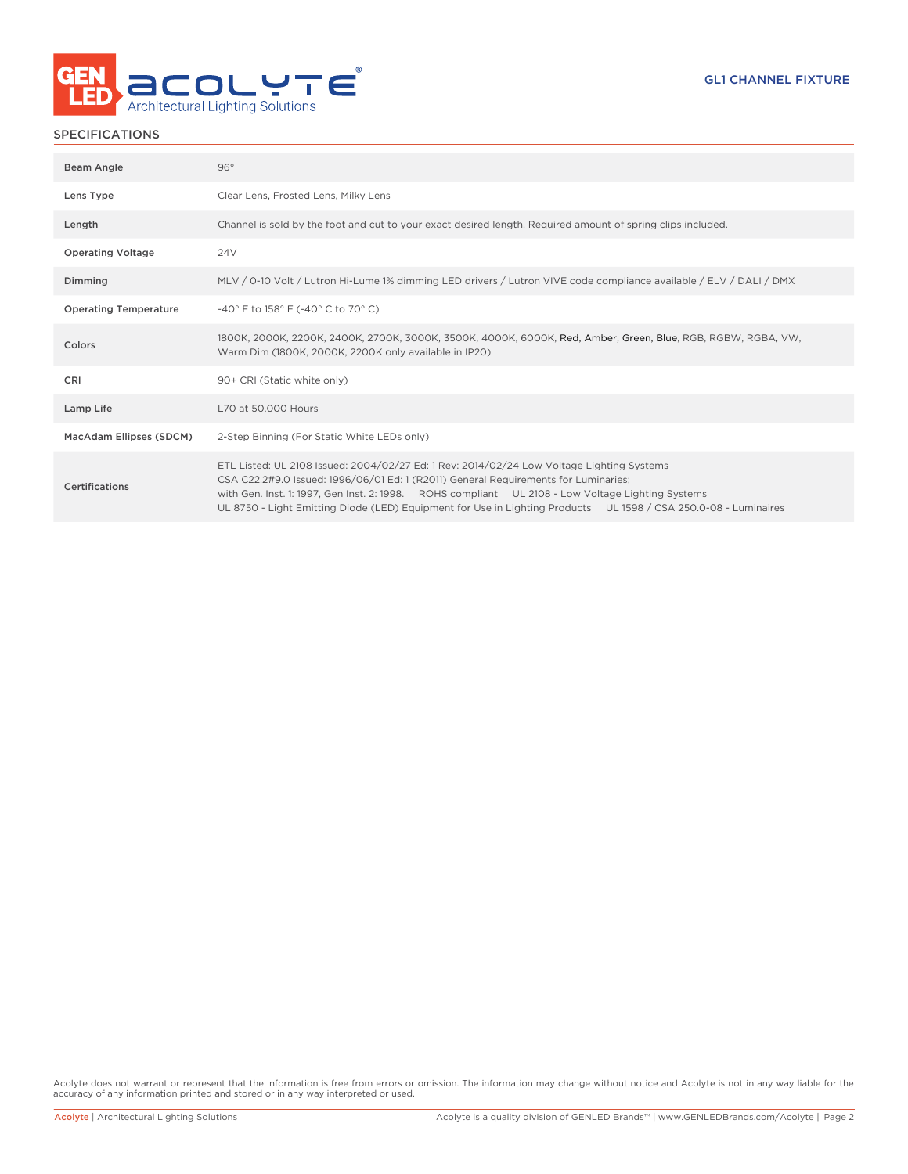

### SPECIFICATIONS

| Beam Angle                   | 96°                                                                                                                                                                                                                                                                                                                                                                                                      |
|------------------------------|----------------------------------------------------------------------------------------------------------------------------------------------------------------------------------------------------------------------------------------------------------------------------------------------------------------------------------------------------------------------------------------------------------|
| Lens Type                    | Clear Lens, Frosted Lens, Milky Lens                                                                                                                                                                                                                                                                                                                                                                     |
| Length                       | Channel is sold by the foot and cut to your exact desired length. Required amount of spring clips included.                                                                                                                                                                                                                                                                                              |
| <b>Operating Voltage</b>     | 24V                                                                                                                                                                                                                                                                                                                                                                                                      |
| Dimming                      | MLV / 0-10 Volt / Lutron Hi-Lume 1% dimming LED drivers / Lutron VIVE code compliance available / ELV / DALI / DMX                                                                                                                                                                                                                                                                                       |
| <b>Operating Temperature</b> | -40° F to 158° F (-40° C to 70° C)                                                                                                                                                                                                                                                                                                                                                                       |
| Colors                       | 1800K, 2000K, 2200K, 2400K, 2700K, 3000K, 3500K, 4000K, 6000K, Red, Amber, Green, Blue, RGB, RGBW, RGBA, VW,<br>Warm Dim (1800K, 2000K, 2200K only available in IP20)                                                                                                                                                                                                                                    |
| CRI                          | 90+ CRI (Static white only)                                                                                                                                                                                                                                                                                                                                                                              |
| Lamp Life                    | L70 at 50,000 Hours                                                                                                                                                                                                                                                                                                                                                                                      |
| MacAdam Ellipses (SDCM)      | 2-Step Binning (For Static White LEDs only)                                                                                                                                                                                                                                                                                                                                                              |
| Certifications               | ETL Listed: UL 2108 Issued: 2004/02/27 Ed: 1 Rev: 2014/02/24 Low Voltage Lighting Systems<br>CSA C22.2#9.0 Issued: 1996/06/01 Ed: 1 (R2011) General Requirements for Luminaries;<br>with Gen. Inst. 1: 1997, Gen Inst. 2: 1998. ROHS compliant UL 2108 - Low Voltage Lighting Systems<br>UL 8750 - Light Emitting Diode (LED) Equipment for Use in Lighting Products UL 1598 / CSA 250.0-08 - Luminaires |

Acolyte does not warrant or represent that the information is free from errors or omission. The information may change without notice and Acolyte is not in any way liable for the accuracy of any information printed and stored or in any way interpreted or used.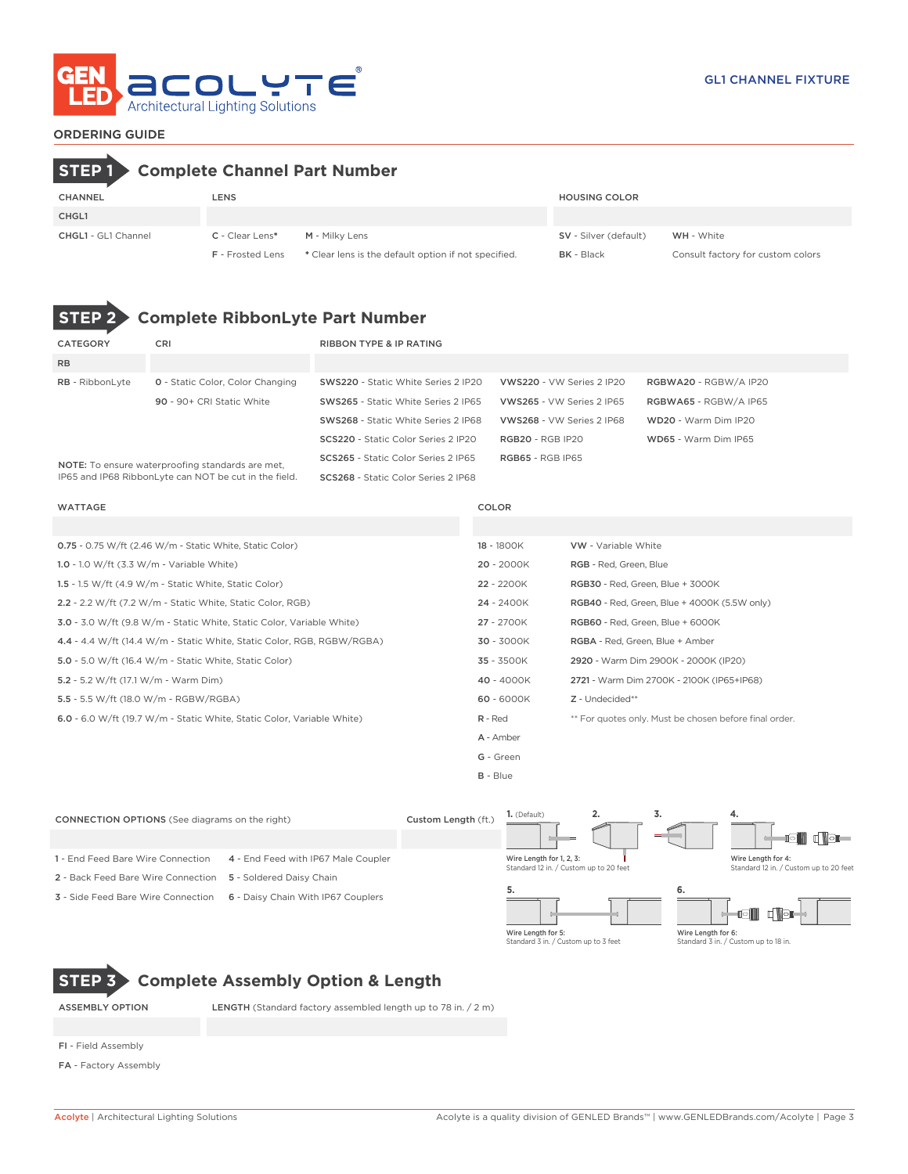

### ORDERING GUIDE

# **STEP 1 Complete Channel Part Number**

| <b>CHANNEL</b>             | LENS                    |                                                      | <b>HOUSING COLOR</b>         |                                   |
|----------------------------|-------------------------|------------------------------------------------------|------------------------------|-----------------------------------|
| CHGL1                      |                         |                                                      |                              |                                   |
| <b>CHGL1</b> - GL1 Channel | C - Clear Lens*         | M - Milky Lens                                       | <b>SV</b> - Silver (default) | <b>WH</b> - White                 |
|                            | <b>F</b> - Frosted Lens | * Clear lens is the default option if not specified. | <b>BK</b> - Black            | Consult factory for custom colors |



# **STEP 2 Complete RibbonLyte Part Number**

| CATEGORY                                                | <b>CRI</b>                                            | <b>RIBBON TYPE &amp; IP RATING</b>         |                                  |                       |
|---------------------------------------------------------|-------------------------------------------------------|--------------------------------------------|----------------------------------|-----------------------|
| <b>RB</b>                                               |                                                       |                                            |                                  |                       |
| <b>RB</b> - RibbonLyte                                  | <b>0</b> - Static Color, Color Changing               | <b>SWS220 - Static White Series 2 IP20</b> | VWS220 - VW Series 2 IP20        | RGBWA20 - RGBW/A IP20 |
|                                                         | 90 - 90+ CRI Static White                             | SWS265 - Static White Series 2 IP65        | <b>VWS265 - VW Series 2 IP65</b> | RGBWA65 - RGBW/A IP65 |
|                                                         |                                                       | SWS268 - Static White Series 2 IP68        | VWS268 - VW Series 2 IP68        | WD20 - Warm Dim IP20  |
|                                                         |                                                       | <b>SCS220</b> - Static Color Series 2 IP20 | <b>RGB20 - RGB IP20</b>          | WD65 - Warm Dim IP65  |
| <b>NOTE:</b> To ensure waterproofing standards are met, |                                                       | SCS265 - Static Color Series 2 IP65        | <b>RGB65 - RGB IP65</b>          |                       |
|                                                         | IP65 and IP68 RibbonLyte can NOT be cut in the field. | SCS268 - Static Color Series 2 IP68        |                                  |                       |

IP65 and IP68 RibbonLyte can NOT be cut in the field.

| <b>WATTAGE</b>                                                         | COLOR      |                                                        |
|------------------------------------------------------------------------|------------|--------------------------------------------------------|
|                                                                        |            |                                                        |
| <b>0.75</b> - 0.75 W/ft (2.46 W/m - Static White, Static Color)        | 18 - 1800K | <b>VW</b> - Variable White                             |
| 1.0 - 1.0 W/ft $(3.3 W/m - Variable White)$                            | 20 - 2000K | RGB - Red, Green, Blue                                 |
| 1.5 - 1.5 W/ft $(4.9 \text{ W/m}$ - Static White, Static Color)        | 22 - 2200K | RGB30 - Red, Green, Blue + 3000K                       |
| 2.2 - 2.2 W/ft (7.2 W/m - Static White, Static Color, RGB)             | 24 - 2400K | <b>RGB40</b> - Red, Green, Blue + 4000K (5.5W only)    |
| 3.0 - 3.0 W/ft (9.8 W/m - Static White, Static Color, Variable White)  | 27 - 2700K | RGB60 - Red, Green, Blue + 6000K                       |
| 4.4 - 4.4 W/ft (14.4 W/m - Static White, Static Color, RGB, RGBW/RGBA) | 30 - 3000K | RGBA - Red, Green, Blue + Amber                        |
| 5.0 - 5.0 W/ft (16.4 W/m - Static White, Static Color)                 | 35 - 3500K | 2920 - Warm Dim 2900K - 2000K (IP20)                   |
| 5.2 - 5.2 W/ft (17.1 W/m - Warm Dim)                                   | 40 - 4000K | 2721 - Warm Dim 2700K - 2100K (IP65+IP68)              |
| 5.5 - 5.5 W/ft (18.0 W/m - RGBW/RGBA)                                  | 60 - 6000K | Z - Undecided**                                        |
| 6.0 - 6.0 W/ft (19.7 W/m - Static White, Static Color, Variable White) | R - Red    | ** For quotes only. Must be chosen before final order. |
|                                                                        | A - Amber  |                                                        |
|                                                                        | G - Green  |                                                        |

B - Blue





**STEP 3 Complete Assembly Option & Length**

ASSEMBLY OPTION LENGTH (Standard factory assembled length up to 78 in. / 2 m)

- FI Field Assembly
- FA Factory Assembly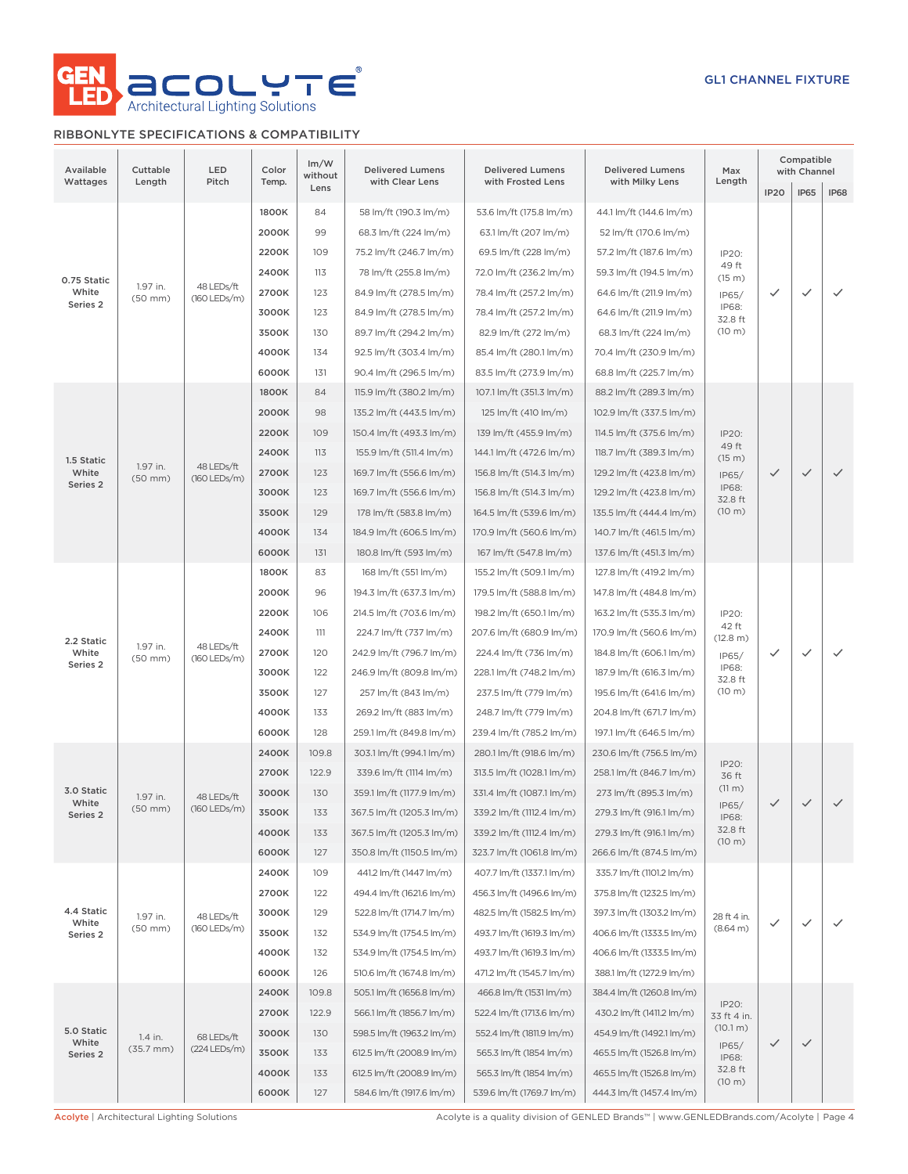

### RIBBONLYTE SPECIFICATIONS & COMPATIBILITY

| Available<br>Wattages | Cuttable<br>Length       | LED<br>Pitch                 | Color<br>Temp. | Im/W<br>without | <b>Delivered Lumens</b><br>with Clear Lens         | <b>Delivered Lumens</b><br>with Frosted Lens         | <b>Delivered Lumens</b><br>with Milky Lens           | Max<br>Length            |                   | Compatible<br>with Channel |              |
|-----------------------|--------------------------|------------------------------|----------------|-----------------|----------------------------------------------------|------------------------------------------------------|------------------------------------------------------|--------------------------|-------------------|----------------------------|--------------|
|                       |                          |                              |                | Lens            |                                                    |                                                      |                                                      |                          | <b>IP20</b>       | IP65                       | <b>IP68</b>  |
|                       |                          |                              | 1800K          | 84              | 58 lm/ft (190.3 lm/m)                              | 53.6 lm/ft (175.8 lm/m)                              | 44.1 lm/ft (144.6 lm/m)                              |                          |                   |                            |              |
|                       |                          |                              | 2000K          | 99              | 68.3 lm/ft (224 lm/m)                              | 63.1 lm/ft (207 lm/m)                                | 52 lm/ft (170.6 lm/m)                                |                          |                   |                            |              |
|                       |                          |                              | 2200K          | 109             | 75.2 lm/ft (246.7 lm/m)                            | 69.5 lm/ft (228 lm/m)                                | 57.2 lm/ft (187.6 lm/m)                              | IP20:<br>49 ft           |                   |                            | $\checkmark$ |
| 0.75 Static           | 1.97 in.                 | 48 LEDs/ft                   | 2400K          | 113             | 78 lm/ft (255.8 lm/m)                              | 72.0 lm/ft (236.2 lm/m)                              | 59.3 lm/ft (194.5 lm/m)                              | (15 m)                   |                   |                            |              |
| White<br>Series 2     | $(50$ mm $)$             | $(160$ LEDs/m)               | 2700K          | 123             | 84.9 lm/ft (278.5 lm/m)                            | 78.4 lm/ft (257.2 lm/m)                              | 64.6 lm/ft (211.9 lm/m)                              | IP65/<br>IP68:           | $\checkmark$      | $\checkmark$               |              |
|                       |                          |                              | 3000K          | 123             | 84.9 lm/ft (278.5 lm/m)                            | 78.4 lm/ft (257.2 lm/m)                              | 64.6 lm/ft (211.9 lm/m)                              | 32.8 ft                  |                   |                            |              |
|                       |                          |                              | 3500K          | 130             | 89.7 lm/ft (294.2 lm/m)                            | 82.9 lm/ft (272 lm/m)                                | 68.3 lm/ft (224 lm/m)                                | $(10 \text{ m})$         |                   |                            |              |
|                       |                          |                              | 4000K          | 134             | 92.5 lm/ft (303.4 lm/m)                            | 85.4 lm/ft (280.1 lm/m)                              | 70.4 lm/ft (230.9 lm/m)                              |                          |                   |                            |              |
|                       |                          |                              | 6000K          | 131             | 90.4 lm/ft (296.5 lm/m)                            | 83.5 lm/ft (273.9 lm/m)                              | 68.8 lm/ft (225.7 lm/m)                              |                          |                   |                            |              |
|                       |                          |                              | 1800K          | 84              | 115.9 lm/ft (380.2 lm/m)                           | 107.1 lm/ft (351.3 lm/m)                             | 88.2 lm/ft (289.3 lm/m)                              |                          |                   |                            |              |
|                       |                          |                              | 2000K          | 98              | 135.2 lm/ft (443.5 lm/m)                           | 125 lm/ft (410 lm/m)                                 | 102.9 lm/ft (337.5 lm/m)                             |                          | $\checkmark$      |                            |              |
|                       |                          |                              | 2200K          | 109             | 150.4 lm/ft (493.3 lm/m)                           | 139 lm/ft (455.9 lm/m)                               | 114.5 lm/ft (375.6 lm/m)                             | IP20:<br>49 ft           |                   |                            |              |
| 1.5 Static            | 1.97 in.                 | 48 LEDs/ft                   | 2400K          | 113             | 155.9 lm/ft (511.4 lm/m)                           | 144.1 lm/ft (472.6 lm/m)                             | 118.7 lm/ft (389.3 lm/m)                             | (15 m)                   |                   | $\checkmark$               |              |
| White<br>Series 2     | $(50$ mm $)$             | (160 LEDs/m)                 | 2700K          | 123             | 169.7 lm/ft (556.6 lm/m)                           | 156.8 lm/ft (514.3 lm/m)                             | 129.2 lm/ft (423.8 lm/m)                             | IP65/<br>IP68:           |                   |                            | $\checkmark$ |
|                       |                          |                              | 3000K          | 123             | 169.7 lm/ft (556.6 lm/m)                           | 156.8 lm/ft (514.3 lm/m)                             | 129.2 lm/ft (423.8 lm/m)                             | 32.8 ft                  |                   |                            |              |
|                       |                          |                              | 3500K          | 129             | 178 lm/ft (583.8 lm/m)                             | 164.5 lm/ft (539.6 lm/m)                             | 135.5 lm/ft (444.4 lm/m)                             | $(10 \text{ m})$         |                   |                            |              |
|                       |                          |                              | 4000K          | 134             | 184.9 lm/ft (606.5 lm/m)                           | 170.9 lm/ft (560.6 lm/m)                             | 140.7 lm/ft (461.5 lm/m)                             |                          |                   |                            |              |
|                       |                          |                              | 6000K<br>1800K | 131<br>83       | 180.8 lm/ft (593 lm/m)<br>168 lm/ft (551 lm/m)     | 167 lm/ft (547.8 lm/m)                               | 137.6 lm/ft (451.3 lm/m)                             |                          |                   |                            |              |
|                       |                          |                              |                |                 |                                                    | 155.2 lm/ft (509.1 lm/m)                             | 127.8 lm/ft (419.2 lm/m)                             |                          |                   | $\checkmark$               |              |
|                       |                          |                              | 2000K<br>2200K | 96<br>106       | 194.3 lm/ft (637.3 lm/m)                           | 179.5 lm/ft (588.8 lm/m)                             | 147.8 lm/ft (484.8 lm/m)                             |                          |                   |                            |              |
|                       |                          |                              | 2400K          | 111             | 214.5 lm/ft (703.6 lm/m)<br>224.7 lm/ft (737 lm/m) | 198.2 lm/ft (650.1 lm/m)<br>207.6 lm/ft (680.9 lm/m) | 163.2 lm/ft (535.3 lm/m)<br>170.9 lm/ft (560.6 lm/m) | IP20:<br>42 ft           |                   |                            |              |
| 2.2 Static<br>White   | 1.97 in.<br>$(50$ mm $)$ | 48 LEDs/ft<br>(160 LEDs/m)   | 2700K          | 120             | 242.9 lm/ft (796.7 lm/m)                           |                                                      |                                                      | (12.8 m)                 | ✓                 |                            | $\checkmark$ |
| Series 2              |                          |                              | 3000K          | 122             | 246.9 lm/ft (809.8 lm/m)                           | 224.4 lm/ft (736 lm/m)                               | 184.8 lm/ft (606.1 lm/m)<br>187.9 lm/ft (616.3 lm/m) | IP65/<br>IP68:           |                   |                            |              |
|                       |                          |                              |                | 3500K           | 127                                                | 257 lm/ft (843 lm/m)                                 | 228.1 lm/ft (748.2 lm/m)<br>237.5 lm/ft (779 lm/m)   | 195.6 lm/ft (641.6 lm/m) | 32.8 ft<br>(10 m) |                            |              |
|                       |                          |                              | 4000K          | 133             | 269.2 lm/ft (883 lm/m)                             | 248.7 lm/ft (779 lm/m)                               | 204.8 lm/ft (671.7 lm/m)                             |                          |                   |                            |              |
|                       |                          |                              | 6000K          | 128             | 259.1 lm/ft (849.8 lm/m)                           | 239.4 lm/ft (785.2 lm/m)                             | 197.1 lm/ft (646.5 lm/m)                             |                          |                   |                            |              |
|                       |                          |                              | 2400K          | 109.8           | 303.1 lm/ft (994.1 lm/m)                           | 280.1 lm/ft (918.6 lm/m)                             | 230.6 lm/ft (756.5 lm/m)                             |                          |                   |                            |              |
|                       |                          |                              | 2700K          | 122.9           | 339.6 lm/ft (1114 lm/m)                            | 313.5 lm/ft (1028.1 lm/m)                            | 258.1 lm/ft (846.7 lm/m)                             | IP20:                    |                   |                            |              |
| 3.0 Static            |                          |                              | 3000K          | 130             | 359.1 lm/ft (1177.9 lm/m)                          | 331.4 lm/ft (1087.1 lm/m)                            | 273 lm/ft (895.3 lm/m)                               | 36 ft<br>(11 m)          |                   |                            |              |
| White                 | 1.97 in.<br>$(50$ mm $)$ | 48 LEDs/ft<br>$(160$ LEDs/m) | 3500K          | 133             | 367.5 lm/ft (1205.3 lm/m)                          | 339.2 lm/ft (1112.4 lm/m)                            | 279.3 lm/ft (916.1 lm/m)                             | IP65/                    | ✓                 | $\checkmark$               |              |
| Series 2              |                          |                              | 4000K          | 133             | 367.5 lm/ft (1205.3 lm/m)                          | 339.2 lm/ft (1112.4 lm/m)                            | 279.3 lm/ft (916.1 lm/m)                             | IP68:<br>32.8 ft         |                   |                            |              |
|                       |                          |                              | 6000K          | 127             | 350.8 lm/ft (1150.5 lm/m)                          | 323.7 lm/ft (1061.8 lm/m)                            | 266.6 lm/ft (874.5 lm/m)                             | (10 m)                   |                   |                            |              |
|                       |                          |                              | 2400K          | 109             | 441.2 lm/ft (1447 lm/m)                            | 407.7 lm/ft (1337.1 lm/m)                            | 335.7 lm/ft (1101.2 lm/m)                            |                          |                   |                            |              |
|                       |                          |                              | 2700K          | 122             | 494.4 lm/ft (1621.6 lm/m)                          | 456.3 lm/ft (1496.6 lm/m)                            | 375.8 lm/ft (1232.5 lm/m)                            |                          |                   |                            |              |
| 4.4 Static            | 1.97 in.                 | 48 LEDs/ft                   | 3000K          | 129             | 522.8 lm/ft (1714.7 lm/m)                          | 482.5 lm/ft (1582.5 lm/m)                            | 397.3 lm/ft (1303.2 lm/m)                            | 28 ft 4 in.              |                   |                            |              |
| White<br>Series 2     | $(50$ mm $)$             | (160 LEDs/m)                 | 3500K          | 132             | 534.9 lm/ft (1754.5 lm/m)                          | 493.7 lm/ft (1619.3 lm/m)                            | 406.6 lm/ft (1333.5 lm/m)                            | (8.64 m)                 | ✓                 | $\checkmark$               |              |
|                       |                          |                              | 4000K          | 132             | 534.9 lm/ft (1754.5 lm/m)                          | 493.7 lm/ft (1619.3 lm/m)                            | 406.6 lm/ft (1333.5 lm/m)                            |                          |                   |                            |              |
|                       |                          |                              | 6000K          | 126             | 510.6 lm/ft (1674.8 lm/m)                          | 471.2 lm/ft (1545.7 lm/m)                            | 388.1 lm/ft (1272.9 lm/m)                            |                          |                   |                            |              |
|                       |                          |                              | 2400K          | 109.8           | 505.1 lm/ft (1656.8 lm/m)                          | 466.8 lm/ft (1531 lm/m)                              | 384.4 lm/ft (1260.8 lm/m)                            |                          |                   |                            |              |
|                       |                          |                              | 2700K          | 122.9           | 566.1 lm/ft (1856.7 lm/m)                          | 522.4 lm/ft (1713.6 lm/m)                            | 430.2 lm/ft (1411.2 lm/m)                            | IP20:<br>33 ft 4 in.     |                   |                            |              |
| 5.0 Static            | 1.4 in.                  | 68 LEDs/ft                   | 3000K          | 130             | 598.5 lm/ft (1963.2 lm/m)                          | 552.4 lm/ft (1811.9 lm/m)                            | 454.9 lm/ft (1492.1 lm/m)                            | (10.1 m)                 |                   |                            |              |
| White<br>Series 2     | $(35.7 \, \text{mm})$    | (224 LEDs/m)                 | 3500K          | 133             | 612.5 lm/ft (2008.9 lm/m)                          | 565.3 lm/ft (1854 lm/m)                              | 465.5 lm/ft (1526.8 lm/m)                            | IP65/<br>IP68:           | $\checkmark$      | $\checkmark$               |              |
|                       |                          |                              | 4000K          | 133             | 612.5 lm/ft (2008.9 lm/m)                          | 565.3 lm/ft (1854 lm/m)                              | 465.5 lm/ft (1526.8 lm/m)                            | 32.8 ft                  |                   |                            |              |
|                       |                          |                              | 6000K          | 127             | 584.6 lm/ft (1917.6 lm/m)                          | 539.6 lm/ft (1769.7 lm/m)                            | 444.3 lm/ft (1457.4 lm/m)                            | (10 m)                   |                   |                            |              |
|                       |                          |                              |                |                 |                                                    |                                                      |                                                      |                          |                   |                            |              |

Acolyte | Architectural Lighting Solutions **Acolyte is a quality division of GENLED Brands™** | www.GENLEDBrands.com/Acolyte | Page 4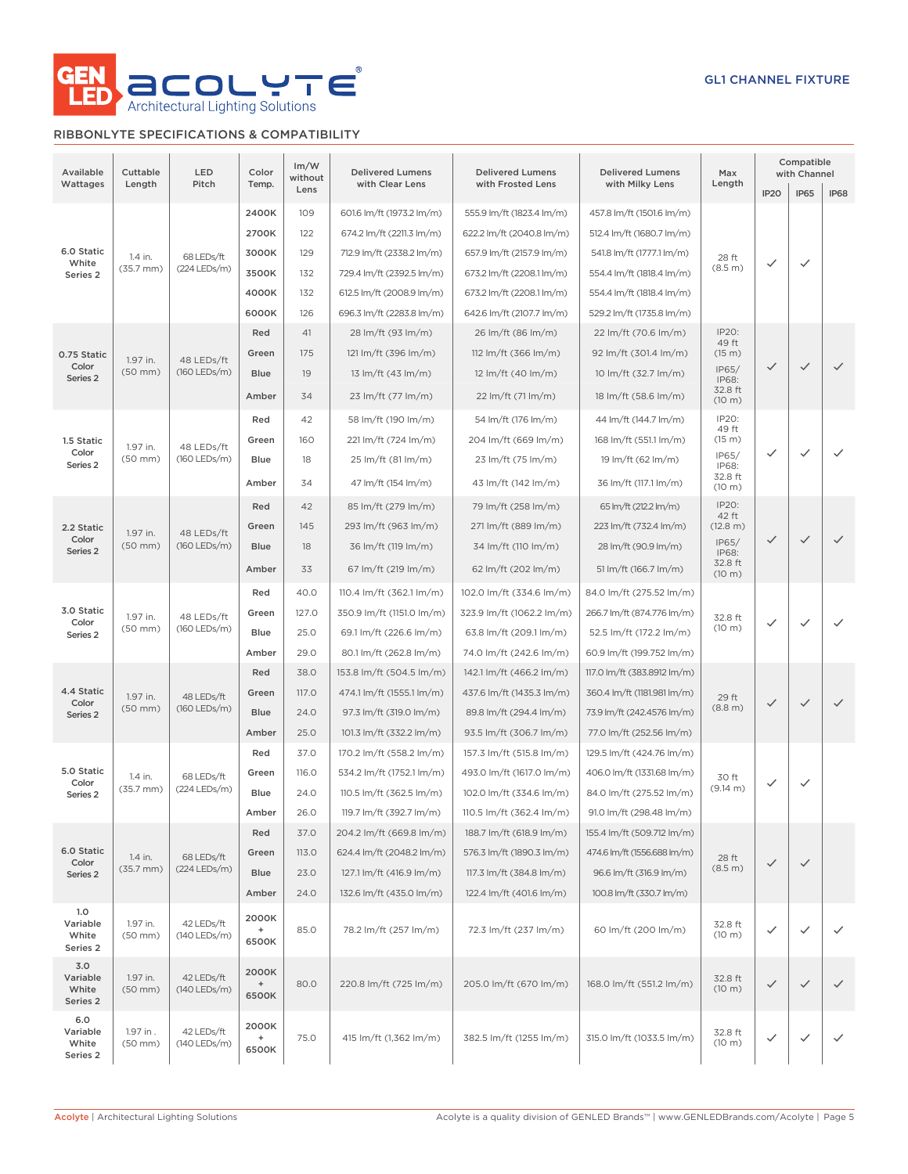

### RIBBONLYTE SPECIFICATIONS & COMPATIBILITY

| Available<br>Wattages                | Cuttable<br>Length        | LED<br>Pitch               | Color<br>Temp.              | Im/W<br>without<br>Lens | <b>Delivered Lumens</b><br>with Clear Lens | <b>Delivered Lumens</b><br>with Frosted Lens | <b>Delivered Lumens</b><br>with Milky Lens | Max<br>Length           | IP <sub>20</sub>       | Compatible<br>with Channel<br><b>IP65</b> | <b>IP68</b>            |              |              |      |                          |                          |                             |  |  |  |  |  |  |  |  |       |       |                           |                           |                             |       |  |  |  |
|--------------------------------------|---------------------------|----------------------------|-----------------------------|-------------------------|--------------------------------------------|----------------------------------------------|--------------------------------------------|-------------------------|------------------------|-------------------------------------------|------------------------|--------------|--------------|------|--------------------------|--------------------------|-----------------------------|--|--|--|--|--|--|--|--|-------|-------|---------------------------|---------------------------|-----------------------------|-------|--|--|--|
|                                      |                           |                            | 2400K                       | 109                     | 601.6 lm/ft (1973.2 lm/m)                  | 555.9 lm/ft (1823.4 lm/m)                    | 457.8 lm/ft (1501.6 lm/m)                  |                         |                        |                                           |                        |              |              |      |                          |                          |                             |  |  |  |  |  |  |  |  |       |       |                           |                           |                             |       |  |  |  |
|                                      |                           |                            | 2700K                       | 122                     | 674.2 lm/ft (2211.3 lm/m)                  | 622.2 lm/ft (2040.8 lm/m)                    | 512.4 lm/ft (1680.7 lm/m)                  |                         |                        |                                           |                        |              |              |      |                          |                          |                             |  |  |  |  |  |  |  |  |       |       |                           |                           |                             |       |  |  |  |
| 6.0 Static                           |                           |                            | 3000K                       | 129                     | 712.9 lm/ft (2338.2 lm/m)                  | 657.9 lm/ft (2157.9 lm/m)                    | 541.8 lm/ft (1777.1 lm/m)                  |                         |                        |                                           |                        |              |              |      |                          |                          |                             |  |  |  |  |  |  |  |  |       |       |                           |                           |                             |       |  |  |  |
| White                                | 1.4 in.<br>$(35.7$ mm $)$ | 68 LEDs/ft<br>(224 LEDs/m) | 3500K                       | 132                     | 729.4 lm/ft (2392.5 lm/m)                  | 673.2 lm/ft (2208.1 lm/m)                    | 554.4 lm/ft (1818.4 lm/m)                  | 28 ft<br>(8.5 m)        | ✓                      | ✓                                         |                        |              |              |      |                          |                          |                             |  |  |  |  |  |  |  |  |       |       |                           |                           |                             |       |  |  |  |
| Series 2                             |                           |                            | 4000K                       | 132                     | 612.5 lm/ft (2008.9 lm/m)                  | 673.2 lm/ft (2208.1 lm/m)                    | 554.4 lm/ft (1818.4 lm/m)                  |                         |                        |                                           |                        |              |              |      |                          |                          |                             |  |  |  |  |  |  |  |  |       |       |                           |                           |                             |       |  |  |  |
|                                      |                           |                            | 6000K                       | 126                     | 696.3 lm/ft (2283.8 lm/m)                  | 642.6 lm/ft (2107.7 lm/m)                    | 529.2 lm/ft (1735.8 lm/m)                  |                         |                        |                                           |                        |              |              |      |                          |                          |                             |  |  |  |  |  |  |  |  |       |       |                           |                           |                             |       |  |  |  |
|                                      |                           |                            | Red                         | 41                      | 28 lm/ft (93 lm/m)                         | 26 lm/ft (86 lm/m)                           | 22 lm/ft (70.6 lm/m)                       | IP20:                   |                        |                                           |                        |              |              |      |                          |                          |                             |  |  |  |  |  |  |  |  |       |       |                           |                           |                             |       |  |  |  |
| 0.75 Static                          |                           |                            | Green                       | 175                     | 121 lm/ft (396 lm/m)                       | 112 lm/ft (366 lm/m)                         | 92 lm/ft (301.4 lm/m)                      | 49 ft<br>(15 m)         |                        |                                           |                        |              |              |      |                          |                          |                             |  |  |  |  |  |  |  |  |       |       |                           |                           |                             |       |  |  |  |
| Color                                | 1.97 in.<br>$(50$ mm $)$  | 48 LEDs/ft<br>(160 LEDs/m) | <b>Blue</b>                 | 19                      | 13 lm/ft (43 lm/m)                         | 12 lm/ft (40 lm/m)                           | 10 lm/ft (32.7 lm/m)                       | IP65/                   | $\checkmark$           | $\checkmark$                              | $\checkmark$           |              |              |      |                          |                          |                             |  |  |  |  |  |  |  |  |       |       |                           |                           |                             |       |  |  |  |
| Series <sub>2</sub>                  |                           |                            |                             |                         |                                            |                                              |                                            | IP68:<br>32.8 ft        |                        |                                           |                        |              |              |      |                          |                          |                             |  |  |  |  |  |  |  |  |       |       |                           |                           |                             |       |  |  |  |
|                                      |                           |                            | Amber                       | 34                      | 23 lm/ft (77 lm/m)                         | 22 lm/ft (71 lm/m)                           | 18 lm/ft (58.6 lm/m)                       | (10 m)                  |                        |                                           |                        |              |              |      |                          |                          |                             |  |  |  |  |  |  |  |  |       |       |                           |                           |                             |       |  |  |  |
|                                      |                           | 48 LEDs/ft                 | Red                         | 42                      | 58 lm/ft (190 lm/m)                        | 54 lm/ft (176 lm/m)                          | 44 lm/ft (144.7 lm/m)                      | IP20:<br>49 ft          |                        |                                           |                        |              |              |      |                          |                          |                             |  |  |  |  |  |  |  |  |       |       |                           |                           |                             |       |  |  |  |
| 1.5 Static<br>Color                  | 1.97 in.                  |                            |                             |                         | Green                                      | 160                                          | 221 lm/ft (724 lm/m)                       | 204 lm/ft (669 lm/m)    | 168 lm/ft (551.1 lm/m) | (15 m)<br>IP65/                           | $\checkmark$           | ✓            | $\checkmark$ |      |                          |                          |                             |  |  |  |  |  |  |  |  |       |       |                           |                           |                             |       |  |  |  |
| Series <sub>2</sub>                  | $(50$ mm $)$              | (160 LEDs/m)               | Blue                        | 18                      | 25 lm/ft (81 lm/m)                         | 23 lm/ft (75 lm/m)                           | 19 lm/ft (62 lm/m)                         | IP68:                   |                        |                                           |                        |              |              |      |                          |                          |                             |  |  |  |  |  |  |  |  |       |       |                           |                           |                             |       |  |  |  |
|                                      |                           |                            | Amber                       | 34                      | 47 lm/ft (154 lm/m)                        | 43 lm/ft (142 lm/m)                          | 36 lm/ft (117.1 lm/m)                      | 32.8 ft<br>(10 m)       |                        |                                           |                        |              |              |      |                          |                          |                             |  |  |  |  |  |  |  |  |       |       |                           |                           |                             |       |  |  |  |
|                                      |                           |                            | Red                         | 42                      | 85 lm/ft (279 lm/m)                        | 79 lm/ft (258 lm/m)                          | 65 lm/ft (212.2 lm/m)                      | IP20:<br>42 ft          |                        |                                           |                        |              |              |      |                          |                          |                             |  |  |  |  |  |  |  |  |       |       |                           |                           |                             |       |  |  |  |
| 2.2 Static                           | 1.97 in.                  | 48 LEDs/ft<br>(160 LEDs/m) |                             |                         |                                            |                                              | Green                                      | 145                     | 293 lm/ft (963 lm/m)   | 271 lm/ft (889 lm/m)                      | 223 lm/ft (732.4 lm/m) | (12.8 m)     |              |      |                          |                          |                             |  |  |  |  |  |  |  |  |       |       |                           |                           |                             |       |  |  |  |
| Color<br>Series <sub>2</sub>         | $(50$ mm $)$              |                            | Blue                        | 18                      | 36 lm/ft (119 lm/m)                        | 34 lm/ft (110 lm/m)                          | 28 lm/ft (90.9 lm/m)                       | IP65/<br>IP68:          | $\checkmark$           | $\checkmark$                              | $\checkmark$           |              |              |      |                          |                          |                             |  |  |  |  |  |  |  |  |       |       |                           |                           |                             |       |  |  |  |
|                                      |                           |                            | Amber                       | 33                      | 67 lm/ft (219 lm/m)                        | 62 lm/ft (202 lm/m)                          | 51 lm/ft (166.7 lm/m)                      | 32.8 ft<br>(10 m)       |                        |                                           |                        |              |              |      |                          |                          |                             |  |  |  |  |  |  |  |  |       |       |                           |                           |                             |       |  |  |  |
|                                      |                           |                            | Red                         | 40.0                    | 110.4 lm/ft (362.1 lm/m)                   | 102.0 lm/ft (334.6 lm/m)                     | 84.0 lm/ft (275.52 lm/m)                   |                         |                        |                                           |                        |              |              |      |                          |                          |                             |  |  |  |  |  |  |  |  |       |       |                           |                           |                             |       |  |  |  |
| 3.0 Static                           | 1.97 in.<br>$(50$ mm $)$  | 48 LEDs/ft<br>(160 LEDs/m) | Green                       | 127.0                   | 350.9 lm/ft (1151.0 lm/m)                  | 323.9 lm/ft (1062.2 lm/m)                    | 266.7 lm/ft (874.776 lm/m)                 | 32.8 ft                 |                        |                                           |                        |              |              |      |                          |                          |                             |  |  |  |  |  |  |  |  |       |       |                           |                           |                             |       |  |  |  |
| Color<br>Series <sub>2</sub>         |                           |                            |                             | Blue                    | 25.0                                       | 69.1 lm/ft (226.6 lm/m)                      | 63.8 lm/ft (209.1 lm/m)                    | 52.5 lm/ft (172.2 lm/m) | (10 m)                 | ✓                                         | $\checkmark$           | $\checkmark$ |              |      |                          |                          |                             |  |  |  |  |  |  |  |  |       |       |                           |                           |                             |       |  |  |  |
|                                      |                           |                            | Amber                       | 29.0                    | 80.1 lm/ft (262.8 lm/m)                    | 74.0 lm/ft (242.6 lm/m)                      | 60.9 lm/ft (199.752 lm/m)                  |                         |                        |                                           |                        |              |              |      |                          |                          |                             |  |  |  |  |  |  |  |  |       |       |                           |                           |                             |       |  |  |  |
|                                      |                           |                            |                             |                         |                                            |                                              |                                            |                         |                        |                                           |                        |              | Red          | 38.0 | 153.8 lm/ft (504.5 lm/m) | 142.1 lm/ft (466.2 lm/m) | 117.0 lm/ft (383.8912 lm/m) |  |  |  |  |  |  |  |  |       |       |                           |                           |                             |       |  |  |  |
| 4.4 Static                           | 1.97 in.                  |                            |                             |                         |                                            |                                              |                                            |                         |                        |                                           |                        | 48 LEDs/ft   |              |      |                          |                          |                             |  |  |  |  |  |  |  |  | Green | 117.0 | 474.1 lm/ft (1555.1 lm/m) | 437.6 lm/ft (1435.3 lm/m) | 360.4 lm/ft (1181.981 lm/m) | 29 ft |  |  |  |
| Color<br>Series 2                    | $(50$ mm $)$              | (160 LEDs/m)               | <b>Blue</b>                 | 24.0                    | 97.3 lm/ft (319.0 lm/m)                    | 89.8 lm/ft (294.4 lm/m)                      | 73.9 lm/ft (242.4576 lm/m)                 | (8.8 m)                 | $\checkmark$           | $\checkmark$                              | $\checkmark$           |              |              |      |                          |                          |                             |  |  |  |  |  |  |  |  |       |       |                           |                           |                             |       |  |  |  |
|                                      |                           |                            | Amber                       | 25.0                    | 101.3 lm/ft (332.2 lm/m)                   | 93.5 lm/ft (306.7 lm/m)                      | 77.0 lm/ft (252.56 lm/m)                   |                         |                        |                                           |                        |              |              |      |                          |                          |                             |  |  |  |  |  |  |  |  |       |       |                           |                           |                             |       |  |  |  |
|                                      |                           |                            | Red                         | 37.0                    | 170.2 lm/ft (558.2 lm/m)                   | 157.3 lm/ft (515.8 lm/m)                     | 129.5 lm/ft (424.76 lm/m)                  |                         |                        |                                           |                        |              |              |      |                          |                          |                             |  |  |  |  |  |  |  |  |       |       |                           |                           |                             |       |  |  |  |
| 5.0 Static                           | 1.4 in.                   | 68 LEDs/ft                 | Green                       | 116.0                   | 534.2 lm/ft (1752.1 lm/m)                  | 493.0 lm/ft (1617.0 lm/m)                    | 406.0 lm/ft (1331.68 lm/m)                 | 30 ft                   |                        |                                           |                        |              |              |      |                          |                          |                             |  |  |  |  |  |  |  |  |       |       |                           |                           |                             |       |  |  |  |
| Color<br>Series <sub>2</sub>         | $(35.7 \, \text{mm})$     | (224 LEDs/m)               | Blue                        | 24.0                    | 110.5 lm/ft (362.5 lm/m)                   | 102.0 lm/ft (334.6 lm/m)                     | 84.0 lm/ft (275.52 lm/m)                   | $(9.14 \text{ m})$      | ✓                      | ✓                                         |                        |              |              |      |                          |                          |                             |  |  |  |  |  |  |  |  |       |       |                           |                           |                             |       |  |  |  |
|                                      |                           |                            | Amber                       | 26.0                    | 119.7 lm/ft (392.7 lm/m)                   | 110.5 lm/ft (362.4 lm/m)                     | 91.0 lm/ft (298.48 lm/m)                   |                         |                        |                                           |                        |              |              |      |                          |                          |                             |  |  |  |  |  |  |  |  |       |       |                           |                           |                             |       |  |  |  |
|                                      |                           |                            | Red                         | 37.0                    | 204.2 lm/ft (669.8 lm/m)                   | 188.7 lm/ft (618.9 lm/m)                     | 155.4 lm/ft (509.712 lm/m)                 |                         |                        |                                           |                        |              |              |      |                          |                          |                             |  |  |  |  |  |  |  |  |       |       |                           |                           |                             |       |  |  |  |
| 6.0 Static<br>Color                  | 1.4 in.                   | 68 LEDs/ft                 | Green                       | 113.0                   | 624.4 lm/ft (2048.2 lm/m)                  | 576.3 lm/ft (1890.3 lm/m)                    | 474.6 lm/ft (1556.688 lm/m)                | 28 ft                   |                        |                                           |                        |              |              |      |                          |                          |                             |  |  |  |  |  |  |  |  |       |       |                           |                           |                             |       |  |  |  |
| Series 2                             | $(35.7 \, \text{mm})$     | (224 LEDs/m)               | <b>Blue</b>                 | 23.0                    | 127.1 lm/ft (416.9 lm/m)                   | 117.3 lm/ft (384.8 lm/m)                     | 96.6 lm/ft (316.9 lm/m)                    | (8.5 m)                 | $\checkmark$           | ✓                                         |                        |              |              |      |                          |                          |                             |  |  |  |  |  |  |  |  |       |       |                           |                           |                             |       |  |  |  |
|                                      |                           |                            | Amber                       | 24.0                    | 132.6 lm/ft (435.0 lm/m)                   | 122.4 lm/ft (401.6 lm/m)                     | 100.8 lm/ft (330.7 lm/m)                   |                         |                        |                                           |                        |              |              |      |                          |                          |                             |  |  |  |  |  |  |  |  |       |       |                           |                           |                             |       |  |  |  |
| 1.0<br>Variable<br>White<br>Series 2 | 1.97 in.<br>$(50$ mm $)$  | 42 LEDs/ft<br>(140 LEDs/m) | 2000K<br>$\ddot{}$<br>6500K | 85.0                    | 78.2 lm/ft (257 lm/m)                      | 72.3 lm/ft (237 lm/m)                        | 60 lm/ft (200 lm/m)                        | 32.8 ft<br>(10 m)       | $\checkmark$           | ✓                                         | $\checkmark$           |              |              |      |                          |                          |                             |  |  |  |  |  |  |  |  |       |       |                           |                           |                             |       |  |  |  |
| 3.0<br>Variable<br>White<br>Series 2 | 1.97 in.<br>$(50$ mm $)$  | 42 LEDs/ft<br>(140 LEDs/m) | 2000K<br>$\ddot{}$<br>6500K | 80.0                    | 220.8 lm/ft (725 lm/m)                     | 205.0 lm/ft (670 lm/m)                       | 168.0 lm/ft (551.2 lm/m)                   | 32.8 ft<br>(10 m)       | $\checkmark$           | $\checkmark$                              | $\checkmark$           |              |              |      |                          |                          |                             |  |  |  |  |  |  |  |  |       |       |                           |                           |                             |       |  |  |  |
| 6.0<br>Variable<br>White<br>Series 2 | 1.97 in.<br>$(50$ mm $)$  | 42 LEDs/ft<br>(140 LEDs/m) | 2000K<br>$\ddot{}$<br>6500K | 75.0                    | 415 lm/ft (1,362 lm/m)                     | 382.5 lm/ft (1255 lm/m)                      | 315.0 lm/ft (1033.5 lm/m)                  | 32.8 ft<br>(10 m)       | $\checkmark$           | ✓                                         | ✓                      |              |              |      |                          |                          |                             |  |  |  |  |  |  |  |  |       |       |                           |                           |                             |       |  |  |  |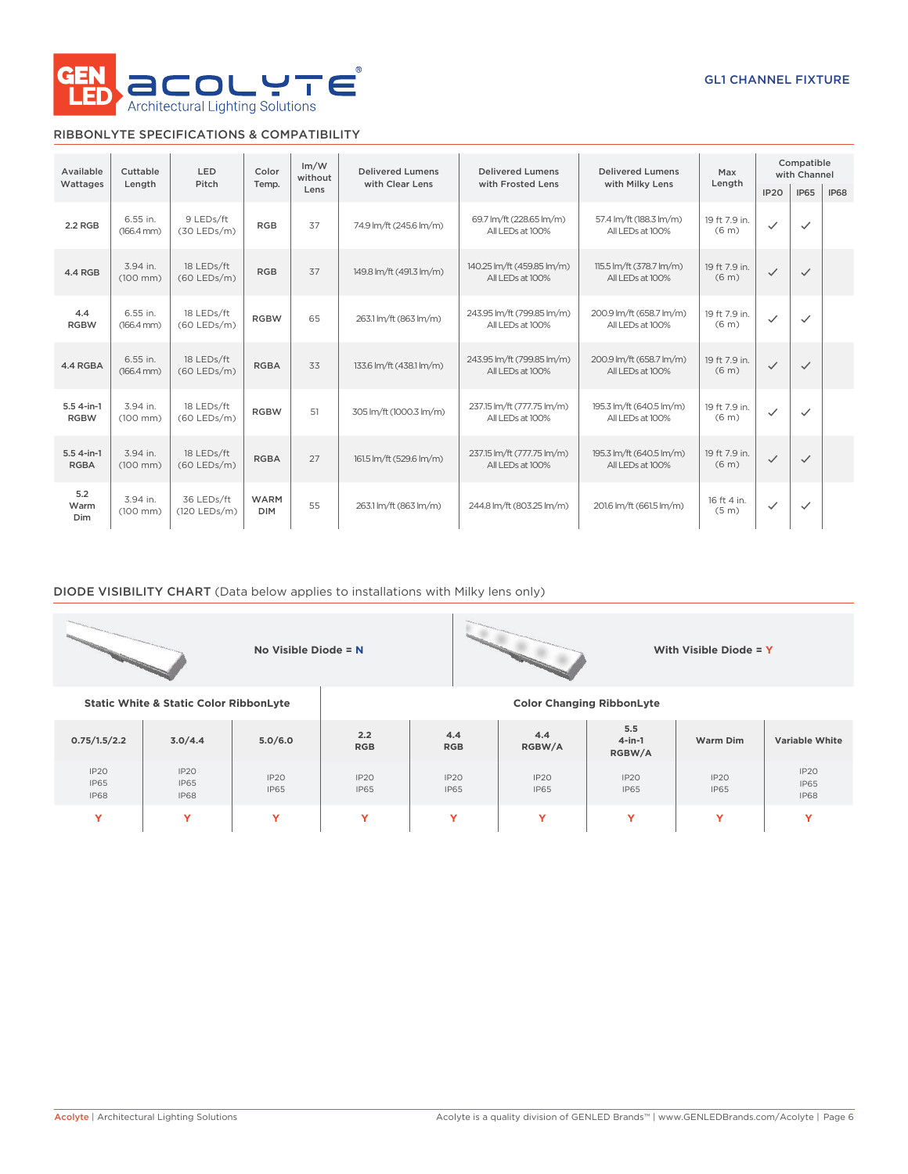

### RIBBONLYTE SPECIFICATIONS & COMPATIBILITY

| Available                   | Cuttable<br>LED<br>Color           |                             |                           | Im/W<br>without | <b>Delivered Lumens</b>  | <b>Delivered Lumens</b>                                                                         | <b>Delivered Lumens</b>                       | Max                                | Compatible<br>with Channel |              |             |
|-----------------------------|------------------------------------|-----------------------------|---------------------------|-----------------|--------------------------|-------------------------------------------------------------------------------------------------|-----------------------------------------------|------------------------------------|----------------------------|--------------|-------------|
| Wattages                    | Length                             | Pitch                       | Temp.                     | Lens            | with Clear Lens          | with Frosted Lens                                                                               | with Milky Lens                               | Length                             | IP <sub>20</sub>           | <b>IP65</b>  | <b>IP68</b> |
| 2.2 RGB                     | 6.55 in.<br>$(166.4 \, \text{mm})$ | 9 LEDs/ft<br>$(30$ LEDs/m)  | <b>RGB</b>                | 37              | 74.9 lm/ft (245.6 lm/m)  | 69.7 lm/ft (228.65 lm/m)<br>All LEDs at 100%                                                    | 57.4 lm/ft (188.3 lm/m)<br>All LEDs at 100%   | 19 ft 7.9 in.<br>(6 <sub>m</sub> ) | $\checkmark$               | $\checkmark$ |             |
| 4.4 RGB                     | 3.94 in.<br>$(100 \, \text{mm})$   | 18 LEDs/ft<br>$(60$ LEDs/m) | <b>RGB</b>                | 37              | 149.8 lm/ft (491.3 lm/m) | 140.25 lm/ft (459.85 lm/m)<br>115.5 lm/ft (378.7 lm/m)<br>All LEDs at 100%<br>All I FDs at 100% |                                               | 19 ft 7.9 in.<br>(6 <sub>m</sub> ) | $\checkmark$               | $\checkmark$ |             |
| 4.4<br><b>RGBW</b>          | 6.55 in.<br>$(166.4 \, \text{mm})$ | 18 LEDs/ft<br>$(60$ LEDs/m) | <b>RGBW</b>               | 65              | 263.1 lm/ft (863 lm/m)   | 200.9 lm/ft (658.7 lm/m)<br>243.95 lm/ft (799.85 lm/m)<br>All LEDs at 100%<br>All LEDs at 100%  |                                               | 19 ft 7.9 in.<br>(6 <sub>m</sub> ) | $\checkmark$               | $\checkmark$ |             |
| 4.4 RGBA                    | 6.55 in.<br>$(166.4 \, \text{mm})$ | 18 LEDs/ft<br>$(60$ LEDs/m) | <b>RGBA</b>               | 33              | 133.6 lm/ft (438.1 lm/m) | 243.95 lm/ft (799.85 lm/m)<br>All LEDs at 100%                                                  | 200.9 lm/ft (658.7 lm/m)<br>All LEDs at 100%  | 19 ft 7.9 in.<br>(6 <sub>m</sub> ) | $\checkmark$               | $\checkmark$ |             |
| 5.5 4-in-1<br><b>RGBW</b>   | 3.94 in.<br>$(100 \, \text{mm})$   | 18 LEDs/ft<br>$(60$ LEDs/m) | <b>RGBW</b>               | 51              | 305 lm/ft (1000.3 lm/m)  | 237.15 lm/ft (777.75 lm/m)<br>All LEDs at 100%                                                  | 195.3 lm/ft (640.5 lm/m)<br>All I FDs at 100% | 19 ft 7.9 in.<br>(6 <sub>m</sub> ) | $\checkmark$               | $\checkmark$ |             |
| $5.54$ -in-1<br><b>RGBA</b> | 3.94 in.<br>$(100$ mm $)$          | 18 LEDs/ft<br>$(60$ LEDs/m) | <b>RGBA</b>               | 27              | 161.5 lm/ft (529.6 lm/m) | 237.15 lm/ft (777.75 lm/m)<br>All LEDs at 100%                                                  | 195.3 lm/ft (640.5 lm/m)<br>All LEDs at 100%  | 19 ft 7.9 in.<br>(6 <sub>m</sub> ) | $\checkmark$               | $\checkmark$ |             |
| 5.2<br>Warm<br><b>Dim</b>   | 3.94 in.<br>$(100 \, \text{mm})$   | 36 LEDs/ft<br>(120 LEDs/m)  | <b>WARM</b><br><b>DIM</b> | 55              | 263.1 lm/ft (863 lm/m)   | 244.8 lm/ft (803.25 lm/m)                                                                       | 201.6 lm/ft (661.5 lm/m)                      | 16 ft 4 in.<br>(5 <sub>m</sub> )   | $\checkmark$               | $\checkmark$ |             |

### DIODE VISIBILITY CHART (Data below applies to installations with Milky lens only)

|                                    |                                                   | No Visible Diode = N |                     |                             |                     |                                  | With Visible Diode = Y |                                    |  |  |
|------------------------------------|---------------------------------------------------|----------------------|---------------------|-----------------------------|---------------------|----------------------------------|------------------------|------------------------------------|--|--|
|                                    | <b>Static White &amp; Static Color RibbonLyte</b> |                      |                     |                             |                     | <b>Color Changing RibbonLyte</b> |                        |                                    |  |  |
| 0.75/1.5/2.2                       | 3.0/4.4                                           | 5.0/6.0              | 2.2<br><b>RGB</b>   | 4.4<br><b>RGB</b>           | 4.4<br>RGBW/A       | 5.5<br>$4$ -in-1<br>RGBW/A       | Warm Dim               | <b>Variable White</b>              |  |  |
| IP20<br><b>IP65</b><br><b>IP68</b> | IP20<br><b>IP65</b><br><b>IP68</b>                | IP20<br><b>IP65</b>  | IP20<br><b>IP65</b> | IP20<br><b>IP65</b>         | IP2O<br><b>IP65</b> | IP2O<br><b>IP65</b>              | IP20<br><b>IP65</b>    | IP20<br><b>IP65</b><br><b>IP68</b> |  |  |
| Y                                  | Y                                                 | Y                    | Y                   | Y<br>$\checkmark$<br>Y<br>Y |                     |                                  |                        |                                    |  |  |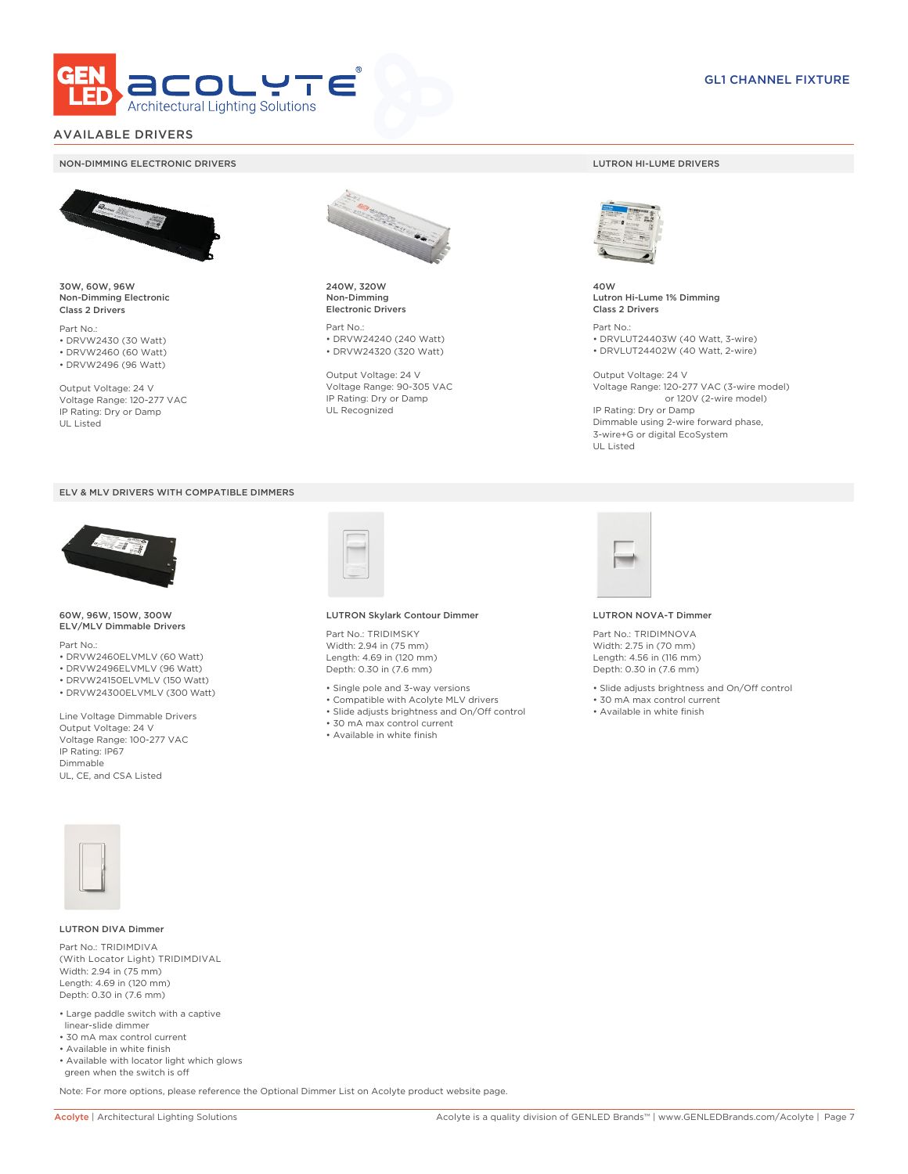

### AVAILABLE DRIVERS

#### NON-DIMMING ELECTRONIC DRIVERS LUTRON HI-LUME DRIVERS



30W, 60W, 96W Non-Dimming Electronic Class 2 Drivers

Part No.: • DRVW2430 (30 Watt) • DRVW2460 (60 Watt)

• DRVW2496 (96 Watt)

Output Voltage: 24 V Voltage Range: 120-277 VAC IP Rating: Dry or Damp UL Listed





60W, 96W, 150W, 300W ELV/MLV Dimmable Drivers

Part No.:

- DRVW2460ELVMLV (60 Watt)
- DRVW2496ELVMLV (96 Watt)
- DRVW24150ELVMLV (150 Watt) • DRVW24300ELVMLV (300 Watt)
- 

Line Voltage Dimmable Drivers Output Voltage: 24 V Voltage Range: 100-277 VAC IP Rating: IP67 Dimmable UL, CE, and CSA Listed



240W, 320W Non-Dimming Electronic Drivers

Part No.: • DRVW24240 (240 Watt) • DRVW24320 (320 Watt)

Output Voltage: 24 V Voltage Range: 90-305 VAC IP Rating: Dry or Damp UL Recognized



40W Lutron Hi-Lume 1% Dimming Class 2 Drivers

Part No.: • DRVLUT24403W (40 Watt, 3-wire) • DRVLUT24402W (40 Watt, 2-wire)

Output Voltage: 24 V Voltage Range: 120-277 VAC (3-wire model) or 120V (2-wire model) IP Rating: Dry or Damp Dimmable using 2-wire forward phase, 3-wire+G or digital EcoSystem UL Listed



#### LUTRON Skylark Contour Dimmer

Part No.: TRIDIMSKY Width: 2.94 in (75 mm) Length: 4.69 in (120 mm) Depth: 0.30 in (7.6 mm)

- Single pole and 3-way versions
- Compatible with Acolyte MLV drivers
- Slide adjusts brightness and On/Off control
- 30 mA max control current
- Available in white finish



#### LUTRON NOVA-T Dimmer

Part No.: TRIDIMNOVA Width: 2.75 in (70 mm) Length: 4.56 in (116 mm) Depth: 0.30 in (7.6 mm)

- Slide adjusts brightness and On/Off control
- 30 mA max control current
- Available in white finish



#### LUTRON DIVA Dimmer

Part No.: TRIDIMDIVA (With Locator Light) TRIDIMDIVAL Width: 2.94 in (75 mm) Length: 4.69 in (120 mm) Depth: 0.30 in (7.6 mm)

- Large paddle switch with a captive linear-slide dimmer
- 30 mA max control current
- Available in white finish
- Available with locator light which glows green when the switch is off

Note: For more options, please reference the Optional Dimmer List on Acolyte product website page.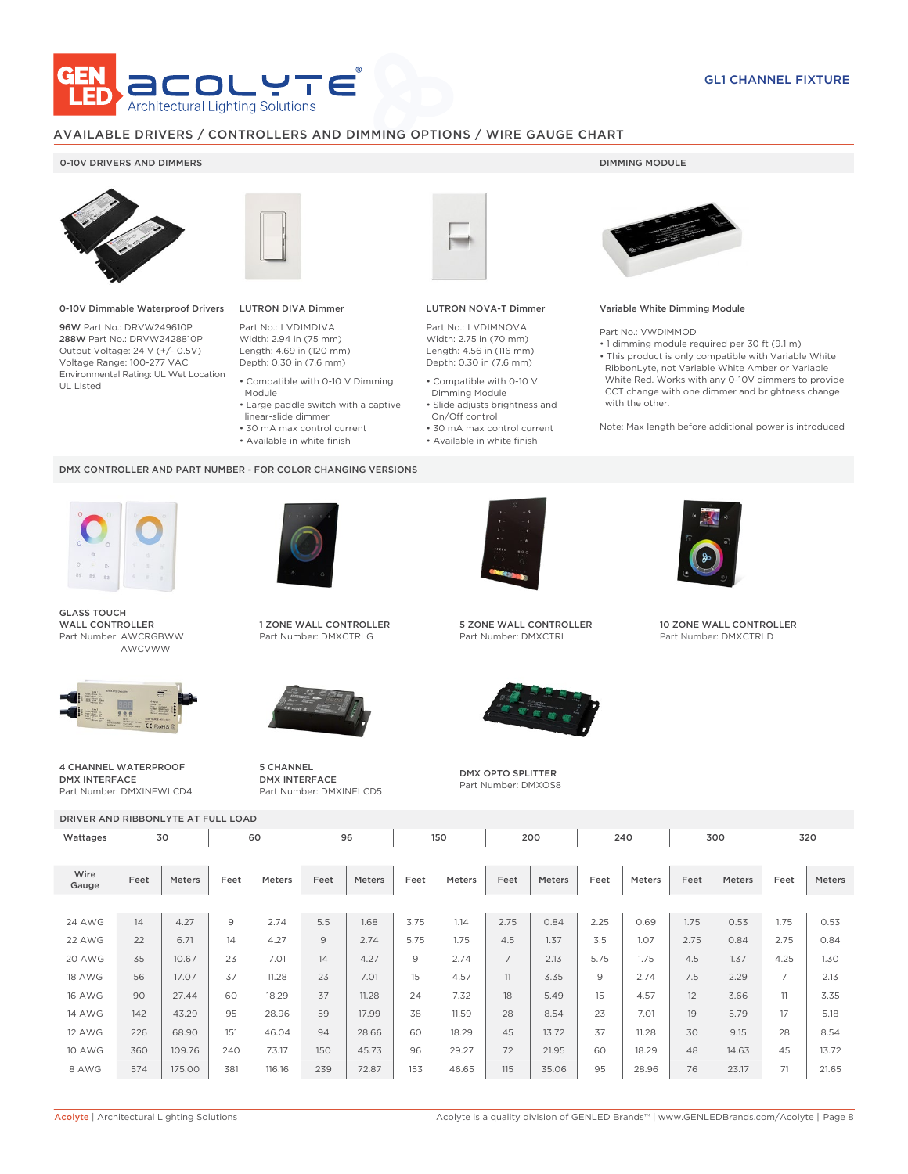

### AVAILABLE DRIVERS / CONTROLLERS AND DIMMING OPTIONS / WIRE GAUGE CHART

### 0-10V DRIVERS AND DIMMERS **DIMMING MODULE**



0-10V Dimmable Waterproof Drivers

96W Part No.: DRVW249610P 288W Part No.: DRVW2428810P Output Voltage: 24 V (+/- 0.5V) Voltage Range: 100-277 VAC Environmental Rating: UL Wet Location UL Listed



## LUTRON DIVA Dimmer

Part No.: LVDIMDIVA Width: 2.94 in (75 mm) Length: 4.69 in (120 mm) Depth: 0.30 in (7.6 mm)

- Compatible with 0-10 V Dimming Module
- Large paddle switch with a captive
- linear-slide dimmer
- 30 mA max control current
- Available in white finish

#### DMX CONTROLLER AND PART NUMBER - FOR COLOR CHANGING VERSIONS



GLASS TOUCH WALL CONTROLLER Part Number: AWCRGBWW AWCVWW



4 CHANNEL WATERPROOF DMX INTERFACE Part Number: DMXINFWLCD4



1 ZONE WALL CONTROLLER Part Number: DMXCTRLG



5 CHANNEL DMX INTERFACE Part Number: DMXINFLCD5



### LUTRON NOVA-T Dimmer

Part No.: LVDIMNOVA Width: 2.75 in (70 mm) Length: 4.56 in (116 mm) Depth: 0.30 in (7.6 mm)

- Compatible with 0-10 V Dimming Module
- Slide adjusts brightness and On/Off control
- 30 mA max control current • Available in white finish

#### Variable White Dimming Module

Part No.: VWDIMMOD

• 1 dimming module required per 30 ft (9.1 m) • This product is only compatible with Variable White RibbonLyte, not Variable White Amber or Variable White Red. Works with any 0-10V dimmers to provide CCT change with one dimmer and brightness change with the other.

Note: Max length before additional power is introduced



5 ZONE WALL CONTROLLER Part Number: DMXCTRL



DMX OPTO SPLITTER Part Number: DMXOS8



10 ZONE WALL CONTROLLER Part Number: DMXCTRLD

| DRIVER AND RIBBONLYTE AT FULL LOAD |          |        |                |               |      |        |      |               |                |               |      |        |      |               |                |        |
|------------------------------------|----------|--------|----------------|---------------|------|--------|------|---------------|----------------|---------------|------|--------|------|---------------|----------------|--------|
| Wattages                           | 60<br>30 |        |                |               | 96   |        | 150  |               | 200            | 240           |      | 300    |      | 320           |                |        |
|                                    |          |        |                |               |      |        |      |               |                |               |      |        |      |               |                |        |
| Wire<br>Gauge                      | Feet     | Meters | Feet           | <b>Meters</b> | Feet | Meters | Feet | <b>Meters</b> | Feet           | <b>Meters</b> | Feet | Meters | Feet | <b>Meters</b> | Feet           | Meters |
|                                    |          |        |                |               |      |        |      |               |                |               |      |        |      |               |                |        |
| <b>24 AWG</b>                      | 14       | 4.27   | $\overline{9}$ | 2.74          | 5.5  | 1.68   | 3.75 | 1.14          | 2.75           | 0.84          | 2.25 | 0.69   | 1.75 | 0.53          | 1.75           | 0.53   |
| 22 AWG                             | 22       | 6.71   | 14             | 4.27          | 9    | 2.74   | 5.75 | 1.75          | 4.5            | 1.37          | 3.5  | 1.07   | 2.75 | 0.84          | 2.75           | 0.84   |
| 20 AWG                             | 35       | 10.67  | 23             | 7.01          | 14   | 4.27   | 9    | 2.74          | $\overline{7}$ | 2.13          | 5.75 | 1.75   | 4.5  | 1.37          | 4.25           | 1.30   |
| <b>18 AWG</b>                      | 56       | 17.07  | 37             | 11.28         | 23   | 7.01   | 15   | 4.57          | 11             | 3.35          | 9    | 2.74   | 7.5  | 2.29          | $\overline{7}$ | 2.13   |
| <b>16 AWG</b>                      | 90       | 27.44  | 60             | 18.29         | 37   | 11.28  | 24   | 7.32          | 18             | 5.49          | 15   | 4.57   | 12   | 3.66          | 11             | 3.35   |
| <b>14 AWG</b>                      | 142      | 43.29  | 95             | 28.96         | 59   | 17.99  | 38   | 11.59         | 28             | 8.54          | 23   | 7.01   | 19   | 5.79          | 17             | 5.18   |
| <b>12 AWG</b>                      | 226      | 68.90  | 151            | 46.04         | 94   | 28.66  | 60   | 18.29         | 45             | 13.72         | 37   | 11.28  | 30   | 9.15          | 28             | 8.54   |
| <b>10 AWG</b>                      | 360      | 109.76 | 240            | 73.17         | 150  | 45.73  | 96   | 29.27         | 72             | 21.95         | 60   | 18.29  | 48   | 14.63         | 45             | 13.72  |
| 8 AWG                              | 574      | 175.00 | 381            | 116.16        | 239  | 72.87  | 153  | 46.65         | 115            | 35.06         | 95   | 28.96  | 76   | 23.17         | 71             | 21.65  |